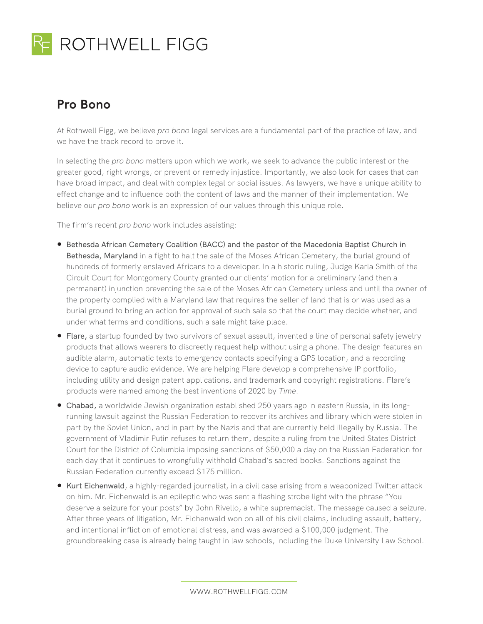

## **Pro Bono**

At Rothwell Figg, we believe *pro bono* legal services are a fundamental part of the practice of law, and we have the track record to prove it.

In selecting the *pro bono* matters upon which we work, we seek to advance the public interest or the greater good, right wrongs, or prevent or remedy injustice. Importantly, we also look for cases that can have broad impact, and deal with complex legal or social issues. As lawyers, we have a unique ability to effect change and to influence both the content of laws and the manner of their implementation. We believe our *pro bono* work is an expression of our values through this unique role.

The firm's recent *pro bono* work includes assisting:

- Bethesda African Cemetery Coalition (BACC) and the pastor of the Macedonia Baptist Church in Bethesda, Maryland in a fight to halt the sale of the Moses African Cemetery, the burial ground of hundreds of formerly enslaved Africans to a developer. In a historic ruling, Judge Karla Smith of the Circuit Court for Montgomery County granted our clients' motion for a preliminary (and then a permanent) injunction preventing the sale of the Moses African Cemetery unless and until the owner of the property complied with a Maryland law that requires the seller of land that is or was used as a burial ground to bring an action for approval of such sale so that the court may decide whether, and under what terms and conditions, such a sale might take place.
- Flare, a startup founded by two survivors of sexual assault, invented a line of personal safety jewelry products that allows wearers to discreetly request help without using a phone. The design features an audible alarm, automatic texts to emergency contacts specifying a GPS location, and a recording device to capture audio evidence. We are helping Flare develop a comprehensive IP portfolio, including utility and design patent applications, and trademark and copyright registrations. Flare's products were named among the best inventions of 2020 by *Time*.
- Chabad, a worldwide Jewish organization established 250 years ago in eastern Russia, in its longrunning lawsuit against the Russian Federation to recover its archives and library which were stolen in part by the Soviet Union, and in part by the Nazis and that are currently held illegally by Russia. The government of Vladimir Putin refuses to return them, despite a ruling from the United States District Court for the District of Columbia imposing sanctions of \$50,000 a day on the Russian Federation for each day that it continues to wrongfully withhold Chabad's sacred books. Sanctions against the Russian Federation currently exceed \$175 million.
- Kurt Eichenwald, a highly-regarded journalist, in a civil case arising from a weaponized Twitter attack on him. Mr. Eichenwald is an epileptic who was sent a flashing strobe light with the phrase "You deserve a seizure for your posts" by John Rivello, a white supremacist. The message caused a seizure. After three years of litigation, Mr. Eichenwald won on all of his civil claims, including assault, battery, and intentional infliction of emotional distress, and was awarded a \$100,000 judgment. The groundbreaking case is already being taught in law schools, including the Duke University Law School.